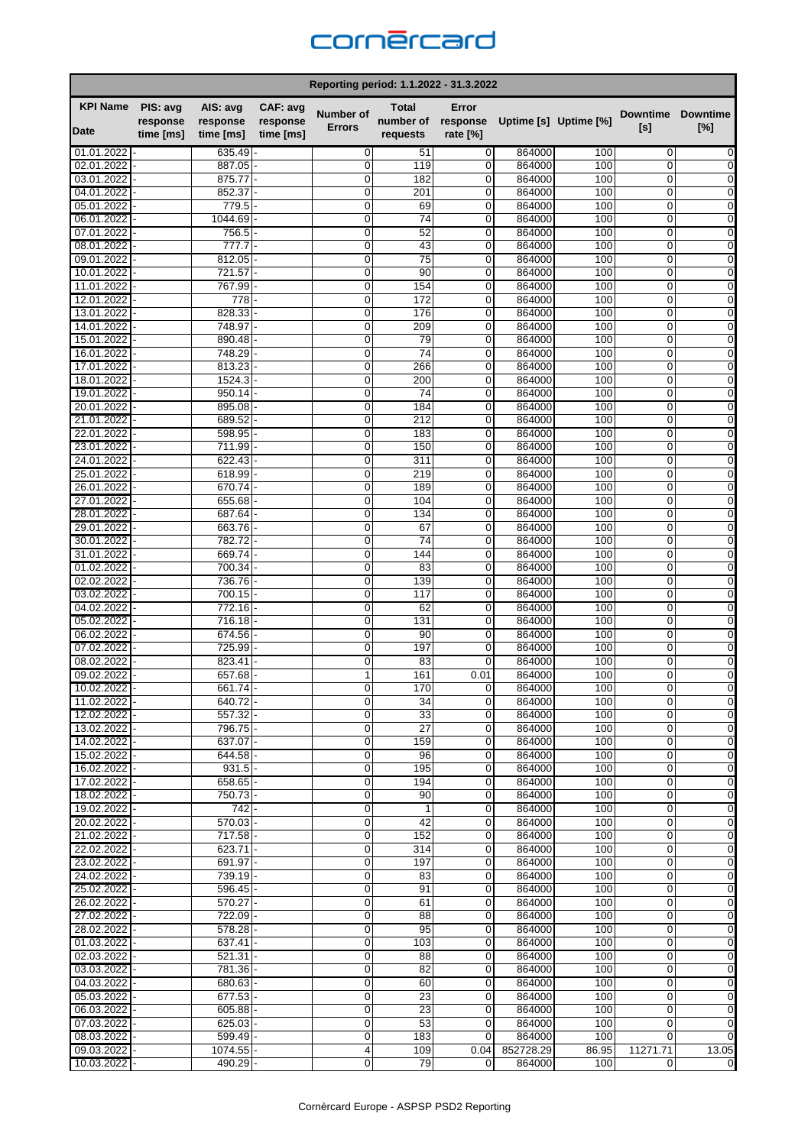## cornercard

| Reporting period: 1.1.2022 - 31.3.2022 |                      |                           |                      |                            |                           |                     |                     |                       |                                     |                        |  |
|----------------------------------------|----------------------|---------------------------|----------------------|----------------------------|---------------------------|---------------------|---------------------|-----------------------|-------------------------------------|------------------------|--|
| <b>KPI Name</b><br>Date                | PIS: avg<br>response | AIS: avg<br>response      | CAF: avg<br>response | Number of<br><b>Errors</b> | <b>Total</b><br>number of | Error<br>response   |                     | Uptime [s] Uptime [%] | <b>Downtime</b><br>[s]              | <b>Downtime</b><br>[%] |  |
|                                        | time [ms]            | time [ms]                 | time [ms]            |                            | requests                  | rate [%]            |                     |                       |                                     |                        |  |
| 01.01.2022                             |                      | $635.49 -$<br>887.05      |                      | 0                          | 51                        | 0                   | 864000              | 100                   | 0                                   | 0                      |  |
| 02.01.2022<br>03.01.2022               |                      | 875.77                    |                      | $\mathbf 0$<br>$\mathbf 0$ | 119<br>182                | 0<br>0              | 864000<br>864000    | 100<br>100            | 0<br>0                              | 0<br>0                 |  |
| 04.01.2022                             |                      | 852.37                    |                      | $\mathbf 0$                | 201                       | 0                   | 864000              | 100                   | $\mathbf 0$                         | $\mathbf 0$            |  |
| 05.01.2022                             |                      | 779.5                     |                      | 0                          | 69                        | 0                   | 864000              | 100                   | 0                                   | 0                      |  |
| 06.01.2022                             |                      | 1044.69                   |                      | $\mathbf 0$                | 74                        | 0                   | 864000              | 100                   | 0                                   | 0                      |  |
| 07.01.2022                             |                      | 756.5                     |                      | $\mathbf 0$                | 52                        | 0                   | 864000              | 100                   | $\mathbf 0$                         | 0                      |  |
| 08.01.2022                             |                      | 777.7                     |                      | 0                          | 43                        | 0                   | 864000              | 100                   | 0                                   | 0                      |  |
| 09.01.2022<br>10.01.2022               |                      | 812.05<br>721.57          |                      | 0<br>$\Omega$              | 75<br>90                  | 0<br>0              | 864000<br>864000    | 100<br>100            | 0<br>0                              | 0<br>0                 |  |
| 11.01.2022                             |                      | 767.99                    |                      | $\mathbf 0$                | 154                       | 0                   | 864000              | 100                   | 0                                   | 0                      |  |
| 12.01.2022                             |                      | 778                       |                      | 0                          | 172                       | 0                   | 864000              | 100                   | 0                                   | $\mathbf 0$            |  |
| 13.01.2022                             |                      | 828.33                    |                      | 0                          | 176                       | 0                   | 864000              | 100                   | 0                                   | 0                      |  |
| 14.01.2022                             |                      | 748.97                    |                      | $\mathbf 0$                | 209                       | 0                   | 864000              | 100                   | 0                                   | $\mathbf 0$            |  |
| 15.01.2022                             |                      | 890.48                    |                      | $\mathbf 0$                | 79                        | 0                   | 864000              | 100                   | $\mathbf 0$                         | 0                      |  |
| 16.01.2022                             |                      | 748.29                    |                      | 0                          | 74                        | 0                   | 864000              | 100                   | 0                                   | 0                      |  |
| 17.01.2022                             |                      | 813.23                    |                      | 0                          | 266                       | 0                   | 864000              | 100                   | 0                                   | 0                      |  |
| 18.01.2022<br>19.01.2022               |                      | 1524.3<br>950.14          |                      | $\Omega$<br>0              | 200<br>74                 | 0<br>0              | 864000<br>864000    | 100<br>100            | $\mathbf 0$<br>0                    | 0<br>0                 |  |
| 20.01.2022                             |                      | 895.08                    |                      | $\mathbf 0$                | 184                       | 0                   | 864000              | 100                   | 0                                   | 0                      |  |
| 21.01.2022                             |                      | 689.52                    |                      | $\mathbf 0$                | 212                       | 0                   | 864000              | 100                   | 0                                   | $\mathbf 0$            |  |
| 22.01.2022                             |                      | 598.95                    |                      | $\mathbf 0$                | 183                       | 0                   | 864000              | 100                   | 0                                   | 0                      |  |
| 23.01.2022                             |                      | 711.99                    |                      | $\mathbf 0$                | 150                       | 0                   | 864000              | 100                   | 0                                   | $\mathbf 0$            |  |
| 24.01.2022                             |                      | 622.43                    |                      | $\Omega$                   | 311                       | 0                   | 864000              | 100                   | 0                                   | 0                      |  |
| 25.01.2022                             |                      | 618.99                    |                      | 0                          | 219                       | 0                   | 864000              | 100                   | 0                                   | 0                      |  |
| 26.01.2022                             |                      | 670.74 -                  |                      | $\mathbf 0$                | 189                       | 0                   | 864000              | 100                   | 0                                   | 0                      |  |
| 27.01.2022<br>28.01.2022               |                      | 655.68<br>687.64          |                      | 0<br>$\mathbf 0$           | 104<br>134                | 0<br>0              | 864000<br>864000    | 100<br>100            | 0<br>0                              | 0<br>$\mathbf 0$       |  |
| 29.01.2022                             |                      | 663.76                    |                      | $\mathbf 0$                | 67                        | 0                   | 864000              | 100                   | 0                                   | 0                      |  |
| 30.01.2022                             |                      | 782.72                    |                      | $\mathbf 0$                | 74                        | 0                   | 864000              | 100                   | 0                                   | 0                      |  |
| 31.01.2022                             |                      | 669.74                    |                      | $\mathbf 0$                | 144                       | 0                   | 864000              | 100                   | 0                                   | 0                      |  |
| 01.02.2022                             |                      | 700.34                    |                      | $\Omega$                   | 83                        | 0                   | 864000              | 100                   | $\Omega$                            | 0                      |  |
| 02.02.2022                             |                      | 736.76                    |                      | $\mathbf 0$                | 139                       | 0                   | 864000              | 100                   | 0                                   | 0                      |  |
| 03.02.2022                             |                      | 700.15                    |                      | $\mathbf 0$                | 117                       | 0                   | 864000              | 100                   | 0                                   | 0                      |  |
| 04.02.2022<br>05.02.2022               |                      | 772.16<br>716.18          |                      | $\mathbf 0$<br>$\mathbf 0$ | 62<br>131                 | $\overline{0}$<br>0 | 864000<br>864000    | 100<br>100            | $\Omega$<br>0                       | 0<br>0                 |  |
| 06.02.2022                             |                      | 674.56                    |                      | 0                          | 90                        | 0                   | 864000              | 100                   | 0                                   | 0                      |  |
| 07.02.2022                             |                      | 725.99                    |                      | $\mathbf 0$                | 197                       | 0                   | 864000              | 100                   | 0                                   | 0                      |  |
| 08.02.2022                             |                      | 823.41                    |                      | $\mathbf 0$                | 83                        | 0                   | 864000              | 100                   | 0                                   | $\mathbf 0$            |  |
| 09.02.2022                             |                      | 657.68                    |                      | 1                          | 161                       | 0.01                | 864000              | 100                   | 0                                   | 0                      |  |
| 10.02.2022                             |                      | 661.74                    |                      | 0                          | 170                       | 0                   | 864000              | 100                   | $\Omega$                            | 0                      |  |
| 11.02.2022                             |                      | $640.72$ -                |                      | $\mathbf 0$                | 34                        | 0                   | 864000              | 100                   | 0                                   | 0                      |  |
| 12.02.2022<br>$13.02.2022$ -           |                      | 557.32<br>796.75 -        |                      | 0<br>0                     | 33<br>27                  | 0<br>0              | 864000<br>864000    | 100<br>100            | $\Omega$<br>$\overline{0}$          | 0<br>0                 |  |
| 14.02.2022                             |                      | 637.07 -                  |                      | 0                          | 159                       | 0                   | 864000              | 100                   | 0                                   | 0                      |  |
| 15.02.2022                             |                      | 644.58                    |                      | $\mathbf 0$                | 96                        | 0                   | 864000              | 100                   | 0                                   | $\boldsymbol{0}$       |  |
| 16.02.2022                             |                      | 931.5                     |                      | 0                          | 195                       | 0                   | 864000              | 100                   | 0                                   | 0                      |  |
| 17.02.2022                             |                      | 658.65                    |                      | 0                          | 194                       | 0                   | 864000              | 100                   | 0                                   | 0                      |  |
| 18.02.2022                             |                      | 750.73                    |                      | 0                          | 90                        | 0                   | 864000              | 100                   | $\overline{0}$                      | $\overline{0}$         |  |
| 19.02.2022                             |                      | 742                       |                      | $\mathbf 0$                | 1                         | 0                   | 864000              | 100                   | 0                                   | 0                      |  |
| 20.02.2022<br>21.02.2022               |                      | $570.03 -$<br>717.58      |                      | 0<br>$\mathbf 0$           | 42<br>152                 | 0<br>0              | 864000<br>864000    | 100<br>100            | 0<br>0                              | 0<br>0                 |  |
| 22.02.2022                             |                      | $623.71 -$                |                      | 0                          | 314                       | 0                   | 864000              | 100                   | 0                                   | $\mathbf 0$            |  |
| 23.02.2022                             |                      | $691.97 -$                |                      | 0                          | 197                       | 0                   | 864000              | 100                   | 0                                   | 0                      |  |
| 24.02.2022                             |                      | 739.19                    |                      | $\mathbf 0$                | 83                        | 0                   | 864000              | 100                   | 0                                   | $\boldsymbol{0}$       |  |
| 25.02.2022                             |                      | 596.45                    |                      | 0                          | 91                        | 0                   | 864000              | 100                   | 0                                   | 0                      |  |
| 26.02.2022                             |                      | 570.27                    |                      | 0                          | 61                        | 0                   | 864000              | 100                   | 0                                   | 0                      |  |
| 27.02.2022                             |                      | 722.09 -                  |                      | $\mathbf 0$                | 88                        | 0                   | 864000              | 100                   | 0                                   | 0                      |  |
| 28.02.2022                             |                      | 578.28                    |                      | 0                          | 95                        | 0                   | 864000              | 100                   | 0<br>$\overline{0}$                 | 0                      |  |
| 01.03.2022<br>02.03.2022               |                      | 637.41<br>521.31          |                      | $\mathbf 0$<br>0           | 103<br>88                 | 0<br>0              | 864000<br>864000    | 100<br>100            | 0                                   | $\overline{0}$<br>0    |  |
| 03.03.2022 -                           |                      | 781.36                    |                      | $\mathbf 0$                | 82                        | 0                   | 864000              | 100                   | 0                                   | 0                      |  |
| 04.03.2022                             |                      | 680.63                    |                      | $\mathbf 0$                | 60                        | 0                   | 864000              | 100                   | 0                                   | 0                      |  |
| 05.03.2022                             |                      | 677.53                    |                      | 0                          | 23                        | 0                   | 864000              | 100                   | 0                                   | 0                      |  |
| 06.03.2022                             |                      | $605.88 -$                |                      | 0                          | 23                        | 0                   | 864000              | 100                   | 0                                   | 0                      |  |
| 07.03.2022                             |                      | 625.03                    |                      | 0                          | 53                        | 0                   | 864000              | 100                   | 0                                   | 0                      |  |
| 08.03.2022 -                           |                      | 599.49 -                  |                      | 0                          | 183                       | 0                   | 864000              | 100                   | 0                                   |                        |  |
| $09.03.2022 -$<br>$10.03.2022$ -       |                      | $1074.55$ -<br>$490.29 -$ |                      | 4<br>$\overline{0}$        | 109<br>79                 | 0.04<br>0           | 852728.29<br>864000 | 86.95<br>100          | 11271.71<br>$\overline{\mathsf{o}}$ | 13.05<br>$\mathbf 0$   |  |
|                                        |                      |                           |                      |                            |                           |                     |                     |                       |                                     |                        |  |